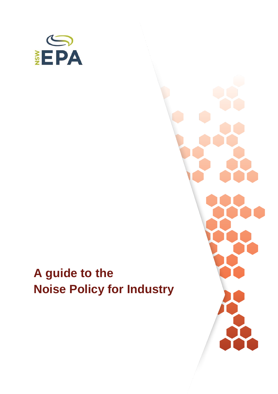

# **A guide to the Noise Policy for Industry**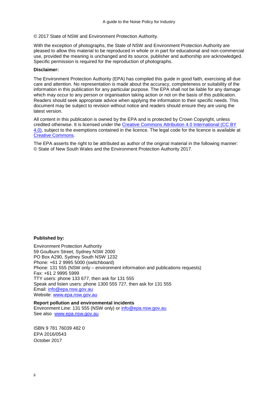#### © 2017 State of NSW and Environment Protection Authority.

With the exception of photographs, the State of NSW and Environment Protection Authority are pleased to allow this material to be reproduced in whole or in part for educational and non-commercial use, provided the meaning is unchanged and its source, publisher and authorship are acknowledged. Specific permission is required for the reproduction of photographs.

#### **Disclaimer:**

The Environment Protection Authority (EPA) has compiled this guide in good faith, exercising all due care and attention. No representation is made about the accuracy, completeness or suitability of the information in this publication for any particular purpose. The EPA shall not be liable for any damage which may occur to any person or organisation taking action or not on the basis of this publication. Readers should seek appropriate advice when applying the information to their specific needs. This document may be subject to revision without notice and readers should ensure they are using the latest version.

All content in this publication is owned by the EPA and is protected by Crown Copyright, unless credited otherwise. It is licensed under the [Creative Commons Attribution 4.0 International \(CC BY](http://creativecommons.org/licenses/by/4.0/deed.en)  [4.0\),](http://creativecommons.org/licenses/by/4.0/deed.en) subject to the exemptions contained in the licence. The legal code for the licence is available at [Creative Commons.](http://creativecommons.org/licenses/by/4.0/legalcode)

The EPA asserts the right to be attributed as author of the original material in the following manner: © State of New South Wales and the Environment Protection Authority 2017.

#### **Published by:**

Environment Protection Authority 59 Goulburn Street, Sydney NSW 2000 PO Box A290, Sydney South NSW 1232 Phone: +61 2 9995 5000 (switchboard) Phone: 131 555 (NSW only – environment information and publications requests) Fax: +61 2 9995 5999 TTY users: phone 133 677, then ask for 131 555 Speak and listen users: phone 1300 555 727, then ask for 131 555 Email: [info@epa.nsw.gov.au](mailto:info@epa.nsw.gov.au) Website: [www.epa.nsw.gov.au](http://www.epa.nsw.gov.au/)

#### **Report pollution and environmental incidents**

Environment Line: 131 555 (NSW only) or [info@epa.nsw.gov.au](mailto:info@epa.nsw.gov.au) See also [www.epa.nsw.gov.au](http://www.epa.nsw.gov.au/)

ISBN 9 781 76039 482 0 EPA 2016/0543 October 2017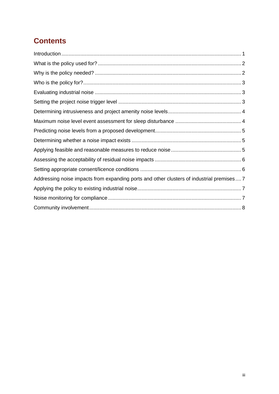# **Contents**

| Addressing noise impacts from expanding ports and other clusters of industrial premises 7 |  |
|-------------------------------------------------------------------------------------------|--|
|                                                                                           |  |
|                                                                                           |  |
|                                                                                           |  |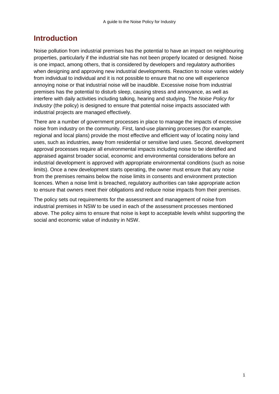### <span id="page-3-0"></span>**Introduction**

Noise pollution from industrial premises has the potential to have an impact on neighbouring properties, particularly if the industrial site has not been properly located or designed. Noise is one impact, among others, that is considered by developers and regulatory authorities when designing and approving new industrial developments. Reaction to noise varies widely from individual to individual and it is not possible to ensure that no one will experience annoying noise or that industrial noise will be inaudible. Excessive noise from industrial premises has the potential to disturb sleep, causing stress and annoyance, as well as interfere with daily activities including talking, hearing and studying. The *Noise Policy for Industry* (the policy) is designed to ensure that potential noise impacts associated with industrial projects are managed effectively.

There are a number of government processes in place to manage the impacts of excessive noise from industry on the community. First, land-use planning processes (for example, regional and local plans) provide the most effective and efficient way of locating noisy land uses, such as industries, away from residential or sensitive land uses. Second, development approval processes require all environmental impacts including noise to be identified and appraised against broader social, economic and environmental considerations before an industrial development is approved with appropriate environmental conditions (such as noise limits). Once a new development starts operating, the owner must ensure that any noise from the premises remains below the noise limits in consents and environment protection licences. When a noise limit is breached, regulatory authorities can take appropriate action to ensure that owners meet their obligations and reduce noise impacts from their premises.

The policy sets out requirements for the assessment and management of noise from industrial premises in NSW to be used in each of the assessment processes mentioned above. The policy aims to ensure that noise is kept to acceptable levels whilst supporting the social and economic value of industry in NSW.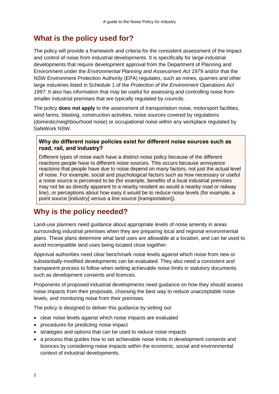# <span id="page-4-0"></span>**What is the policy used for?**

The policy will provide a framework and criteria for the consistent assessment of the impact and control of noise from industrial developments. It is specifically for large industrial developments that require development approval from the Department of Planning and Environment under the *Environmental Planning and Assessment Act 1979* and/or that the NSW Environment Protection Authority (EPA) regulates, such as mines, quarries and other large industries listed in Schedule 1 of the *Protection of the Environment Operations Act 1997*. It also has information that may be useful for assessing and controlling noise from smaller industrial premises that are typically regulated by councils.

The policy **does not apply** to the assessment of transportation noise, motorsport facilities, wind farms, blasting, construction activities, noise sources covered by regulations (domestic/neighbourhood noise) or occupational noise within any workplace regulated by SafeWork NSW.

#### **Why do different noise policies exist for different noise sources such as road, rail, and industry?**

Different types of noise each have a distinct noise policy because of the different reactions people have to different noise sources. This occurs because annoyance reactions that people have due to noise depend on many factors, not just the actual level of noise. For example, social and psychological factors such as how necessary or useful a noise source is perceived to be (for example, benefits of a local industrial premises may not be as directly apparent to a nearby resident as would a nearby road or railway line), or perceptions about how easy it would be to reduce noise levels (for example, a point source [industry] versus a line source [transportation]).

# <span id="page-4-1"></span>**Why is the policy needed?**

Land-use planners need guidance about appropriate levels of noise amenity in areas surrounding industrial premises when they are preparing local and regional environmental plans. These plans determine what land uses are allowable at a location, and can be used to avoid incompatible land uses being located close together.

Approval authorities need clear benchmark noise levels against which noise from new or substantially-modified developments can be evaluated. They also need a consistent and transparent process to follow when setting achievable noise limits in statutory documents such as development consents and licences.

Proponents of proposed industrial developments need guidance on how they should assess noise impacts from their proposals, choosing the best way to reduce unacceptable noise levels, and monitoring noise from their premises.

The policy is designed to deliver this guidance by setting out:

- clear noise levels against which noise impacts are evaluated
- procedures for predicting noise impact
- strategies and options that can be used to reduce noise impacts
- a process that guides how to set achievable noise limits in development consents and licences by considering noise impacts within the economic, social and environmental context of industrial developments.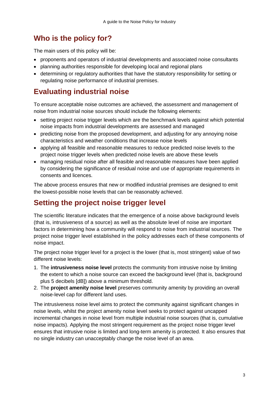# <span id="page-5-0"></span>**Who is the policy for?**

The main users of this policy will be:

- proponents and operators of industrial developments and associated noise consultants
- planning authorities responsible for developing local and regional plans
- determining or regulatory authorities that have the statutory responsibility for setting or regulating noise performance of industrial premises.

# <span id="page-5-1"></span>**Evaluating industrial noise**

To ensure acceptable noise outcomes are achieved, the assessment and management of noise from industrial noise sources should include the following elements:

- setting project noise trigger levels which are the benchmark levels against which potential noise impacts from industrial developments are assessed and managed
- predicting noise from the proposed development, and adjusting for any annoying noise characteristics and weather conditions that increase noise levels
- applying all feasible and reasonable measures to reduce predicted noise levels to the project noise trigger levels when predicted noise levels are above these levels
- managing residual noise after all feasible and reasonable measures have been applied by considering the significance of residual noise and use of appropriate requirements in consents and licences.

The above process ensures that new or modified industrial premises are designed to emit the lowest-possible noise levels that can be reasonably achieved.

# <span id="page-5-2"></span>**Setting the project noise trigger level**

The scientific literature indicates that the emergence of a noise above background levels (that is, intrusiveness of a source) as well as the absolute level of noise are important factors in determining how a community will respond to noise from industrial sources. The project noise trigger level established in the policy addresses each of these components of noise impact.

The project noise trigger level for a project is the lower (that is, most stringent) value of two different noise levels:

- 1. The **intrusiveness noise level** protects the community from intrusive noise by limiting the extent to which a noise source can exceed the background level (that is, background plus 5 decibels [dB]) above a minimum threshold.
- 2. The **project amenity noise level** preserves community amenity by providing an overall noise-level cap for different land uses.

The intrusiveness noise level aims to protect the community against significant changes in noise levels, whilst the project amenity noise level seeks to protect against uncapped incremental changes in noise level from multiple industrial noise sources (that is, cumulative noise impacts). Applying the most stringent requirement as the project noise trigger level ensures that intrusive noise is limited and long-term amenity is protected. It also ensures that no single industry can unacceptably change the noise level of an area.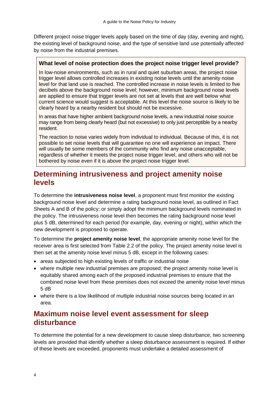Different project noise trigger levels apply based on the time of day (day, evening and night), the existing level of background noise, and the type of sensitive land use potentially affected by noise from the industrial premises.

#### **What level of noise protection does the project noise trigger level provide?**

In low-noise environments, such as in rural and quiet suburban areas, the project noise trigger level allows controlled increases in existing noise levels until the amenity noise level for that land use is reached. The controlled increase in noise levels is limited to five decibels above the background noise level; however, minimum background noise levels are applied to ensure that trigger levels are not set at levels that are well below what current science would suggest is acceptable. At this level the noise source is likely to be clearly heard by a nearby resident but should not be excessive.

In areas that have higher ambient background noise levels, a new industrial noise source may range from being clearly heard (but not excessive) to only just perceptible by a nearby resident.

The reaction to noise varies widely from individual to individual. Because of this, it is not possible to set noise levels that will guarantee no one will experience an impact. There will usually be some members of the community who find any noise unacceptable, regardless of whether it meets the project noise trigger level, and others who will not be bothered by noise even if it is above the project noise trigger level.

# <span id="page-6-0"></span>**Determining intrusiveness and project amenity noise levels**

To determine the **intrusiveness noise level**, a proponent must first monitor the existing background noise level and determine a rating background noise level, as outlined in Fact Sheets A and B of the policy; or simply adopt the minimum background levels nominated in the policy. The intrusiveness noise level then becomes the rating background noise level plus 5 dB, determined for each period (for example, day, evening or night), within which the new development is proposed to operate.

To determine the **project amenity noise level**, the appropriate amenity noise level for the receiver area is first selected from Table 2.2 of the policy. The project amenity noise level is then set at the amenity noise level minus 5 dB, except in the following cases:

- areas subjected to high existing levels of traffic or industrial noise
- where multiple new industrial premises are proposed; the project amenity noise level is equitably shared among each of the proposed industrial premises to ensure that the combined noise level from these premises does not exceed the amenity noise level minus 5 dB
- where there is a low likelihood of multiple industrial noise sources being located in an area.

## <span id="page-6-1"></span>**Maximum noise level event assessment for sleep disturbance**

To determine the potential for a new development to cause sleep disturbance, two screening levels are provided that identify whether a sleep disturbance assessment is required. If either of these levels are exceeded, proponents must undertake a detailed assessment of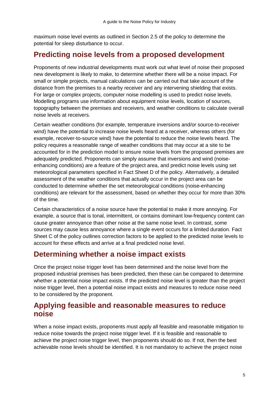maximum noise level events as outlined in Section 2.5 of the policy to determine the potential for sleep disturbance to occur.

# <span id="page-7-0"></span>**Predicting noise levels from a proposed development**

Proponents of new industrial developments must work out what level of noise their proposed new development is likely to make, to determine whether there will be a noise impact. For small or simple projects, manual calculations can be carried out that take account of the distance from the premises to a nearby receiver and any intervening shielding that exists. For large or complex projects, computer noise modelling is used to predict noise levels. Modelling programs use information about equipment noise levels, location of sources, topography between the premises and receivers, and weather conditions to calculate overall noise levels at receivers.

Certain weather conditions (for example, temperature inversions and/or source-to-receiver wind) have the potential to increase noise levels heard at a receiver, whereas others (for example, receiver-to-source wind) have the potential to reduce the noise levels heard. The policy requires a reasonable range of weather conditions that may occur at a site to be accounted for in the prediction model to ensure noise levels from the proposed premises are adequately predicted. Proponents can simply assume that inversions and wind (noiseenhancing conditions) are a feature of the project area, and predict noise levels using set meteorological parameters specified in Fact Sheet D of the policy. Alternatively, a detailed assessment of the weather conditions that actually occur in the project area can be conducted to determine whether the set meteorological conditions (noise-enhancing conditions) are relevant for the assessment, based on whether they occur for more than 30% of the time.

Certain characteristics of a noise source have the potential to make it more annoying. For example, a source that is tonal, intermittent, or contains dominant low-frequency content can cause greater annoyance than other noise at the same noise level. In contrast, some sources may cause less annoyance where a single event occurs for a limited duration. Fact Sheet C of the policy outlines correction factors to be applied to the predicted noise levels to account for these effects and arrive at a final predicted noise level.

## <span id="page-7-1"></span>**Determining whether a noise impact exists**

Once the project noise trigger level has been determined and the noise level from the proposed industrial premises has been predicted, then these can be compared to determine whether a potential noise impact exists. If the predicted noise level is greater than the project noise trigger level, then a potential noise impact exists and measures to reduce noise need to be considered by the proponent.

### <span id="page-7-2"></span>**Applying feasible and reasonable measures to reduce noise**

When a noise impact exists, proponents must apply all feasible and reasonable mitigation to reduce noise towards the project noise trigger level. If it is feasible and reasonable to achieve the project noise trigger level, then proponents should do so. If not, then the best achievable noise levels should be identified. It is not mandatory to achieve the project noise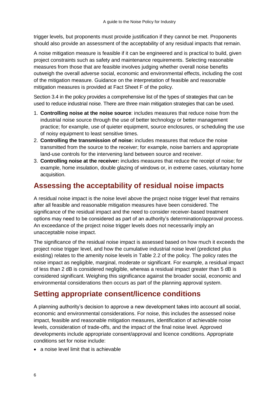trigger levels, but proponents must provide justification if they cannot be met. Proponents should also provide an assessment of the acceptability of any residual impacts that remain.

A noise mitigation measure is feasible if it can be engineered and is practical to build, given project constraints such as safety and maintenance requirements. Selecting reasonable measures from those that are feasible involves judging whether overall noise benefits outweigh the overall adverse social, economic and environmental effects, including the cost of the mitigation measure. Guidance on the interpretation of feasible and reasonable mitigation measures is provided at Fact Sheet F of the policy.

Section 3.4 in the policy provides a comprehensive list of the types of strategies that can be used to reduce industrial noise. There are three main mitigation strategies that can be used.

- 1. **Controlling noise at the noise source**: includes measures that reduce noise from the industrial noise source through the use of better technology or better management practice; for example, use of quieter equipment, source enclosures, or scheduling the use of noisy equipment to least sensitive times.
- 2. **Controlling the transmission of noise:** includes measures that reduce the noise transmitted from the source to the receiver; for example, noise barriers and appropriate land-use controls for the intervening land between source and receiver.
- 3. **Controlling noise at the receiver:** includes measures that reduce the receipt of noise; for example, home insulation, double glazing of windows or, in extreme cases, voluntary home acquisition.

# <span id="page-8-0"></span>**Assessing the acceptability of residual noise impacts**

A residual noise impact is the noise level above the project noise trigger level that remains after all feasible and reasonable mitigation measures have been considered. The significance of the residual impact and the need to consider receiver-based treatment options may need to be considered as part of an authority's determination/approval process. An exceedance of the project noise trigger levels does not necessarily imply an unacceptable noise impact.

The significance of the residual noise impact is assessed based on how much it exceeds the project noise trigger level, and how the cumulative industrial noise level (predicted plus existing) relates to the amenity noise levels in Table 2.2 of the policy. The policy rates the noise impact as negligible, marginal, moderate or significant. For example, a residual impact of less than 2 dB is considered negligible, whereas a residual impact greater than 5 dB is considered significant. Weighing this significance against the broader social, economic and environmental considerations then occurs as part of the planning approval system.

### <span id="page-8-1"></span>**Setting appropriate consent/licence conditions**

A planning authority's decision to approve a new development takes into account all social, economic and environmental considerations. For noise, this includes the assessed noise impact, feasible and reasonable mitigation measures, identification of achievable noise levels, consideration of trade-offs, and the impact of the final noise level. Approved developments include appropriate consent/approval and licence conditions. Appropriate conditions set for noise include:

• a noise level limit that is achievable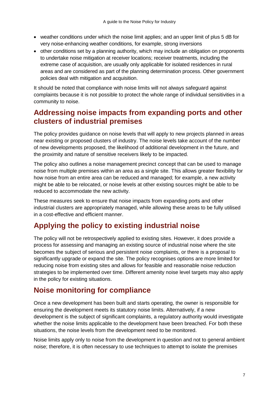- weather conditions under which the noise limit applies; and an upper limit of plus 5 dB for very noise-enhancing weather conditions, for example, strong inversions
- other conditions set by a planning authority, which may include an obligation on proponents to undertake noise mitigation at receiver locations; receiver treatments, including the extreme case of acquisition, are usually only applicable for isolated residences in rural areas and are considered as part of the planning determination process. Other government policies deal with mitigation and acquisition.

It should be noted that compliance with noise limits will not always safeguard against complaints because it is not possible to protect the whole range of individual sensitivities in a community to noise.

# <span id="page-9-0"></span>**Addressing noise impacts from expanding ports and other clusters of industrial premises**

The policy provides guidance on noise levels that will apply to new projects planned in areas near existing or proposed clusters of industry. The noise levels take account of the number of new developments proposed, the likelihood of additional development in the future, and the proximity and nature of sensitive receivers likely to be impacted.

The policy also outlines a noise management precinct concept that can be used to manage noise from multiple premises within an area as a single site. This allows greater flexibility for how noise from an entire area can be reduced and managed; for example, a new activity might be able to be relocated, or noise levels at other existing sources might be able to be reduced to accommodate the new activity.

These measures seek to ensure that noise impacts from expanding ports and other industrial clusters are appropriately managed, while allowing these areas to be fully utilised in a cost-effective and efficient manner.

# <span id="page-9-1"></span>**Applying the policy to existing industrial noise**

The policy will not be retrospectively applied to existing sites. However, it does provide a process for assessing and managing an existing source of industrial noise where the site becomes the subject of serious and persistent noise complaints, or there is a proposal to significantly upgrade or expand the site. The policy recognises options are more limited for reducing noise from existing sites and allows for feasible and reasonable noise reduction strategies to be implemented over time. Different amenity noise level targets may also apply in the policy for existing situations.

# <span id="page-9-2"></span>**Noise monitoring for compliance**

Once a new development has been built and starts operating, the owner is responsible for ensuring the development meets its statutory noise limits. Alternatively, if a new development is the subject of significant complaints, a regulatory authority would investigate whether the noise limits applicable to the development have been breached. For both these situations, the noise levels from the development need to be monitored.

Noise limits apply only to noise from the development in question and not to general ambient noise; therefore, it is often necessary to use techniques to attempt to isolate the premises